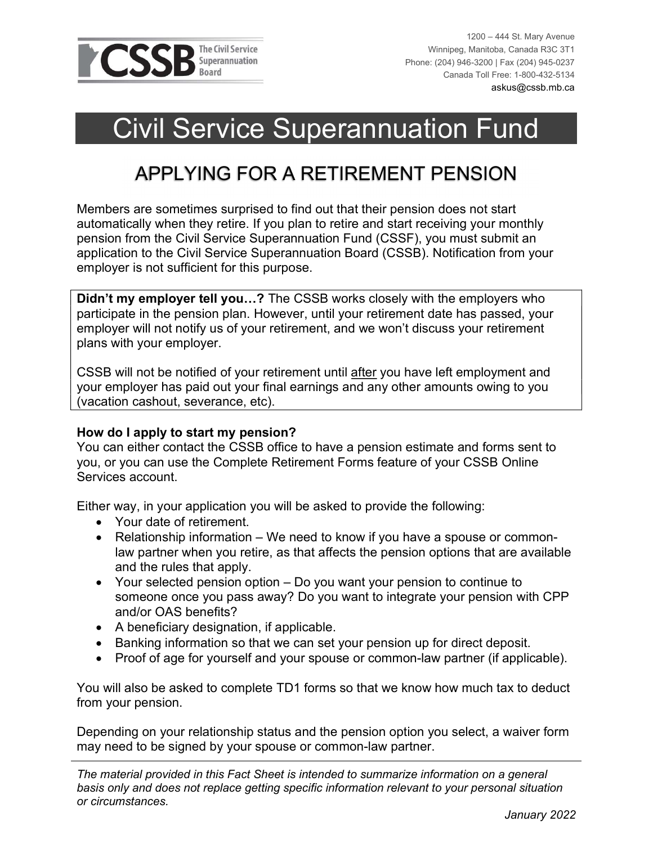

1200 – 444 St. Mary Avenue Winnipeg, Manitoba, Canada R3C 3T1 Phone: (204) 946-3200 | Fax (204) 945-0237 Canada Toll Free: 1-800-432-5134 askus@cssb.mb.ca

 $\overline{a}$ 

# Civil Service Superannuation Fund

## APPLYING FOR A RETIREMENT PENSION

Members are sometimes surprised to find out that their pension does not start automatically when they retire. If you plan to retire and start receiving your monthly pension from the Civil Service Superannuation Fund (CSSF), you must submit an application to the Civil Service Superannuation Board (CSSB). Notification from your employer is not sufficient for this purpose.

Didn't my employer tell you...? The CSSB works closely with the employers who participate in the pension plan. However, until your retirement date has passed, your employer will not notify us of your retirement, and we won't discuss your retirement plans with your employer.

CSSB will not be notified of your retirement until after you have left employment and your employer has paid out your final earnings and any other amounts owing to you (vacation cashout, severance, etc).

#### How do I apply to start my pension?

You can either contact the CSSB office to have a pension estimate and forms sent to you, or you can use the Complete Retirement Forms feature of your CSSB Online Services account.

Either way, in your application you will be asked to provide the following:

- Your date of retirement.
- Relationship information We need to know if you have a spouse or commonlaw partner when you retire, as that affects the pension options that are available and the rules that apply.
- Your selected pension option Do you want your pension to continue to someone once you pass away? Do you want to integrate your pension with CPP and/or OAS benefits?
- A beneficiary designation, if applicable.
- Banking information so that we can set your pension up for direct deposit.
- Proof of age for yourself and your spouse or common-law partner (if applicable).

You will also be asked to complete TD1 forms so that we know how much tax to deduct from your pension.

Depending on your relationship status and the pension option you select, a waiver form may need to be signed by your spouse or common-law partner.

The material provided in this Fact Sheet is intended to summarize information on a general basis only and does not replace getting specific information relevant to your personal situation or circumstances.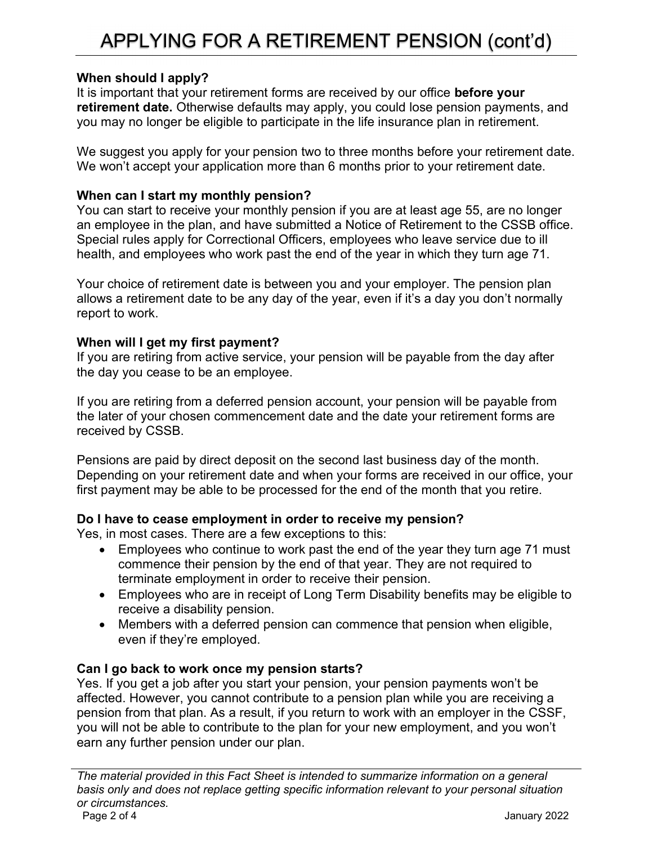### When should I apply?

It is important that your retirement forms are received by our office **before your** retirement date. Otherwise defaults may apply, you could lose pension payments, and you may no longer be eligible to participate in the life insurance plan in retirement.

We suggest you apply for your pension two to three months before your retirement date. We won't accept your application more than 6 months prior to your retirement date.

#### When can I start my monthly pension?

You can start to receive your monthly pension if you are at least age 55, are no longer an employee in the plan, and have submitted a Notice of Retirement to the CSSB office. Special rules apply for Correctional Officers, employees who leave service due to ill health, and employees who work past the end of the year in which they turn age 71.

Your choice of retirement date is between you and your employer. The pension plan allows a retirement date to be any day of the year, even if it's a day you don't normally report to work.

### When will I get my first payment?

If you are retiring from active service, your pension will be payable from the day after the day you cease to be an employee.

If you are retiring from a deferred pension account, your pension will be payable from the later of your chosen commencement date and the date your retirement forms are received by CSSB.

Pensions are paid by direct deposit on the second last business day of the month. Depending on your retirement date and when your forms are received in our office, your first payment may be able to be processed for the end of the month that you retire.

#### Do I have to cease employment in order to receive my pension?

Yes, in most cases. There are a few exceptions to this:

- Employees who continue to work past the end of the year they turn age 71 must commence their pension by the end of that year. They are not required to terminate employment in order to receive their pension.
- Employees who are in receipt of Long Term Disability benefits may be eligible to receive a disability pension.
- Members with a deferred pension can commence that pension when eligible, even if they're employed.

#### Can I go back to work once my pension starts?

Yes. If you get a job after you start your pension, your pension payments won't be affected. However, you cannot contribute to a pension plan while you are receiving a pension from that plan. As a result, if you return to work with an employer in the CSSF, you will not be able to contribute to the plan for your new employment, and you won't earn any further pension under our plan.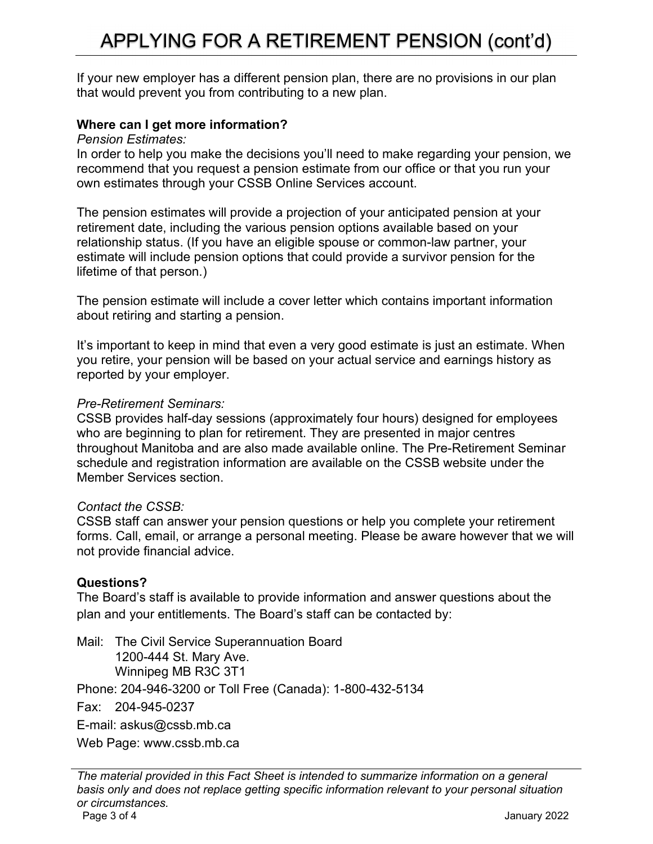# APPLYING FOR A RETIREMENT PENSION (cont'd)

If your new employer has a different pension plan, there are no provisions in our plan that would prevent you from contributing to a new plan.

#### Where can I get more information?

Pension Estimates:

In order to help you make the decisions you'll need to make regarding your pension, we recommend that you request a pension estimate from our office or that you run your own estimates through your CSSB Online Services account.

The pension estimates will provide a projection of your anticipated pension at your retirement date, including the various pension options available based on your relationship status. (If you have an eligible spouse or common-law partner, your estimate will include pension options that could provide a survivor pension for the lifetime of that person.)

The pension estimate will include a cover letter which contains important information about retiring and starting a pension.

It's important to keep in mind that even a very good estimate is just an estimate. When you retire, your pension will be based on your actual service and earnings history as reported by your employer.

#### Pre-Retirement Seminars:

CSSB provides half-day sessions (approximately four hours) designed for employees who are beginning to plan for retirement. They are presented in major centres throughout Manitoba and are also made available online. The Pre-Retirement Seminar schedule and registration information are available on the CSSB website under the Member Services section.

#### Contact the CSSB:

CSSB staff can answer your pension questions or help you complete your retirement forms. Call, email, or arrange a personal meeting. Please be aware however that we will not provide financial advice.

#### Questions?

The Board's staff is available to provide information and answer questions about the plan and your entitlements. The Board's staff can be contacted by:

Mail: The Civil Service Superannuation Board 1200-444 St. Mary Ave. Winnipeg MB R3C 3T1 Phone: 204-946-3200 or Toll Free (Canada): 1-800-432-5134 Fax: 204-945-0237 E-mail: askus@cssb.mb.ca Web Page: www.cssb.mb.ca